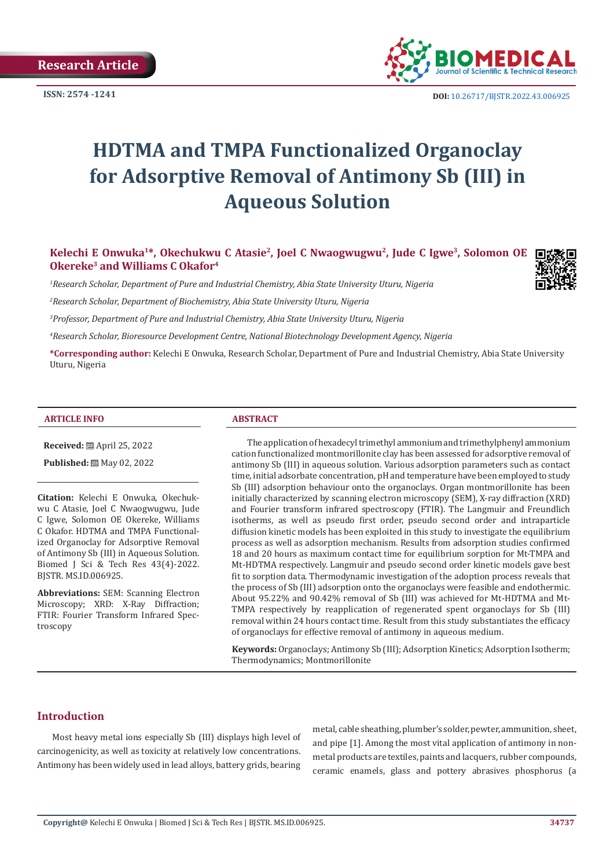**Research Article**



**ISSN:** 2574 -1241 **DOI:** [10.26717/BJSTR.2022.43.006925](https://dx.doi.org/10.26717/BJSTR.2022.43.006925)

# **HDTMA and TMPA Functionalized Organoclay for Adsorptive Removal of Antimony Sb (III) in Aqueous Solution**

**Kelechi E Onwuka1\*, Okechukwu C Atasie2, Joel C Nwaogwugwu2, Jude C Igwe3, Solomon OE Okereke3 and Williams C Okafor4**

*1 Research Scholar, Department of Pure and Industrial Chemistry, Abia State University Uturu, Nigeria*

*2 Research Scholar, Department of Biochemistry, Abia State University Uturu, Nigeria*

*3 Professor, Department of Pure and Industrial Chemistry, Abia State University Uturu, Nigeria*

*4 Research Scholar, Bioresource Development Centre, National Biotechnology Development Agency, Nigeria*

**\*Corresponding author:** Kelechi E Onwuka, Research Scholar, Department of Pure and Industrial Chemistry, Abia State University Uturu, Nigeria

#### **ARTICLE INFO ABSTRACT**

**Received:** April 25, 2022

**Published:** 圖 May 02, 2022

**Citation:** Kelechi E Onwuka, Okechukwu C Atasie, Joel C Nwaogwugwu, Jude C Igwe, Solomon OE Okereke, Williams C Okafor. HDTMA and TMPA Functionalized Organoclay for Adsorptive Removal of Antimony Sb (III) in Aqueous Solution. Biomed J Sci & Tech Res 43(4)-2022. BJSTR. MS.ID.006925.

**Abbreviations:** SEM: Scanning Electron Microscopy; XRD: X-Ray Diffraction; FTIR: Fourier Transform Infrared Spectroscopy

The application of hexadecyl trimethyl ammonium and trimethylphenyl ammonium cation functionalized montmorillonite clay has been assessed for adsorptive removal of antimony Sb (III) in aqueous solution. Various adsorption parameters such as contact time, initial adsorbate concentration, pH and temperature have been employed to study Sb (III) adsorption behaviour onto the organoclays. Organ montmorillonite has been initially characterized by scanning electron microscopy (SEM), X-ray diffraction (XRD) and Fourier transform infrared spectroscopy (FTIR). The Langmuir and Freundlich isotherms, as well as pseudo first order, pseudo second order and intraparticle diffusion kinetic models has been exploited in this study to investigate the equilibrium process as well as adsorption mechanism. Results from adsorption studies confirmed 18 and 20 hours as maximum contact time for equilibrium sorption for Mt-TMPA and Mt-HDTMA respectively. Langmuir and pseudo second order kinetic models gave best fit to sorption data. Thermodynamic investigation of the adoption process reveals that the process of Sb (III) adsorption onto the organoclays were feasible and endothermic. About 95.22% and 90.42% removal of Sb (III) was achieved for Mt-HDTMA and Mt-TMPA respectively by reapplication of regenerated spent organoclays for Sb (III) removal within 24 hours contact time. Result from this study substantiates the efficacy of organoclays for effective removal of antimony in aqueous medium.

**Keywords:** Organoclays; Antimony Sb (III); Adsorption Kinetics; Adsorption Isotherm; Thermodynamics; Montmorillonite

# **Introduction**

Most heavy metal ions especially Sb (III) displays high level of carcinogenicity, as well as toxicity at relatively low concentrations. Antimony has been widely used in lead alloys, battery grids, bearing metal, cable sheathing, plumber's solder, pewter, ammunition, sheet, and pipe [1]. Among the most vital application of antimony in nonmetal products are textiles, paints and lacquers, rubber compounds, ceramic enamels, glass and pottery abrasives phosphorus (a

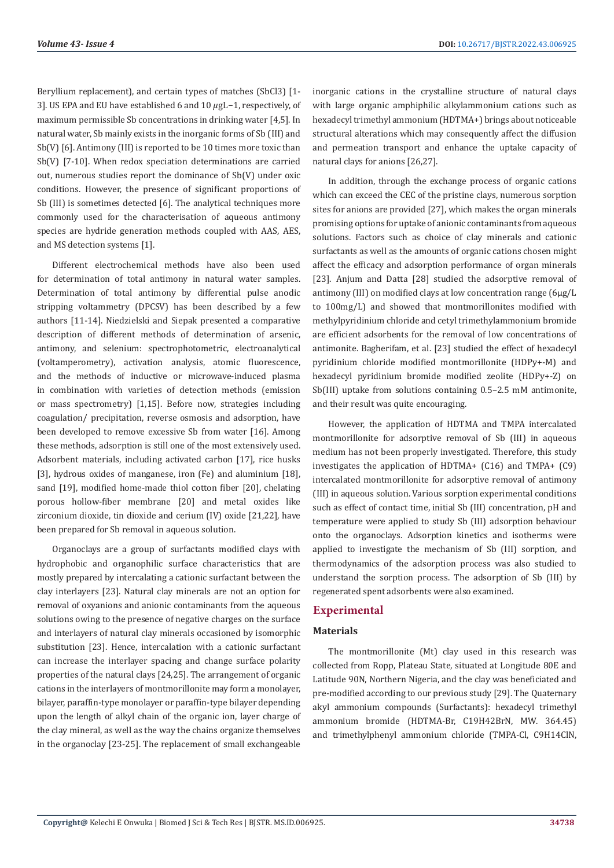Beryllium replacement), and certain types of matches (SbCl3) [1- 3]. US EPA and EU have established 6 and 10 µgL-1, respectively, of maximum permissible Sb concentrations in drinking water [4,5]. In natural water, Sb mainly exists in the inorganic forms of Sb (III) and Sb(V) [6]. Antimony (III) is reported to be 10 times more toxic than Sb(V) [7-10]. When redox speciation determinations are carried out, numerous studies report the dominance of Sb(V) under oxic conditions. However, the presence of significant proportions of Sb (III) is sometimes detected [6]. The analytical techniques more commonly used for the characterisation of aqueous antimony species are hydride generation methods coupled with AAS, AES, and MS detection systems [1].

Different electrochemical methods have also been used for determination of total antimony in natural water samples. Determination of total antimony by differential pulse anodic stripping voltammetry (DPCSV) has been described by a few authors [11-14]. Niedzielski and Siepak presented a comparative description of different methods of determination of arsenic, antimony, and selenium: spectrophotometric, electroanalytical (voltamperometry), activation analysis, atomic fluorescence, and the methods of inductive or microwave-induced plasma in combination with varieties of detection methods (emission or mass spectrometry) [1,15]. Before now, strategies including coagulation/ precipitation, reverse osmosis and adsorption, have been developed to remove excessive Sb from water [16]. Among these methods, adsorption is still one of the most extensively used. Adsorbent materials, including activated carbon [17], rice husks [3], hydrous oxides of manganese, iron (Fe) and aluminium [18], sand [19], modified home-made thiol cotton fiber [20], chelating porous hollow-fiber membrane [20] and metal oxides like zirconium dioxide, tin dioxide and cerium (IV) oxide [21,22], have been prepared for Sb removal in aqueous solution.

Organoclays are a group of surfactants modified clays with hydrophobic and organophilic surface characteristics that are mostly prepared by intercalating a cationic surfactant between the clay interlayers [23]. Natural clay minerals are not an option for removal of oxyanions and anionic contaminants from the aqueous solutions owing to the presence of negative charges on the surface and interlayers of natural clay minerals occasioned by isomorphic substitution [23]. Hence, intercalation with a cationic surfactant can increase the interlayer spacing and change surface polarity properties of the natural clays [24,25]. The arrangement of organic cations in the interlayers of montmorillonite may form a monolayer, bilayer, paraffin-type monolayer or paraffin-type bilayer depending upon the length of alkyl chain of the organic ion, layer charge of the clay mineral, as well as the way the chains organize themselves in the organoclay [23-25]. The replacement of small exchangeable

inorganic cations in the crystalline structure of natural clays with large organic amphiphilic alkylammonium cations such as hexadecyl trimethyl ammonium (HDTMA+) brings about noticeable structural alterations which may consequently affect the diffusion and permeation transport and enhance the uptake capacity of natural clays for anions [26,27].

In addition, through the exchange process of organic cations which can exceed the CEC of the pristine clays, numerous sorption sites for anions are provided [27], which makes the organ minerals promising options for uptake of anionic contaminants from aqueous solutions. Factors such as choice of clay minerals and cationic surfactants as well as the amounts of organic cations chosen might affect the efficacy and adsorption performance of organ minerals [23]. Anjum and Datta [28] studied the adsorptive removal of antimony (III) on modified clays at low concentration range (6μg/L to 100mg/L) and showed that montmorillonites modified with methylpyridinium chloride and cetyl trimethylammonium bromide are efficient adsorbents for the removal of low concentrations of antimonite. Bagherifam, et al. [23] studied the effect of hexadecyl pyridinium chloride modified montmorillonite (HDPy+-M) and hexadecyl pyridinium bromide modified zeolite (HDPy+-Z) on Sb(III) uptake from solutions containing 0.5–2.5 mM antimonite, and their result was quite encouraging.

However, the application of HDTMA and TMPA intercalated montmorillonite for adsorptive removal of Sb (III) in aqueous medium has not been properly investigated. Therefore, this study investigates the application of HDTMA+ (C16) and TMPA+ (C9) intercalated montmorillonite for adsorptive removal of antimony (III) in aqueous solution. Various sorption experimental conditions such as effect of contact time, initial Sb (III) concentration, pH and temperature were applied to study Sb (III) adsorption behaviour onto the organoclays. Adsorption kinetics and isotherms were applied to investigate the mechanism of Sb (III) sorption, and thermodynamics of the adsorption process was also studied to understand the sorption process. The adsorption of Sb (III) by regenerated spent adsorbents were also examined.

# **Experimental**

#### **Materials**

The montmorillonite (Mt) clay used in this research was collected from Ropp, Plateau State, situated at Longitude 80E and Latitude 90N, Northern Nigeria, and the clay was beneficiated and pre-modified according to our previous study [29]. The Quaternary akyl ammonium compounds (Surfactants): hexadecyl trimethyl ammonium bromide (HDTMA-Br, C19H42BrN, MW. 364.45) and trimethylphenyl ammonium chloride (TMPA-Cl, C9H14ClN,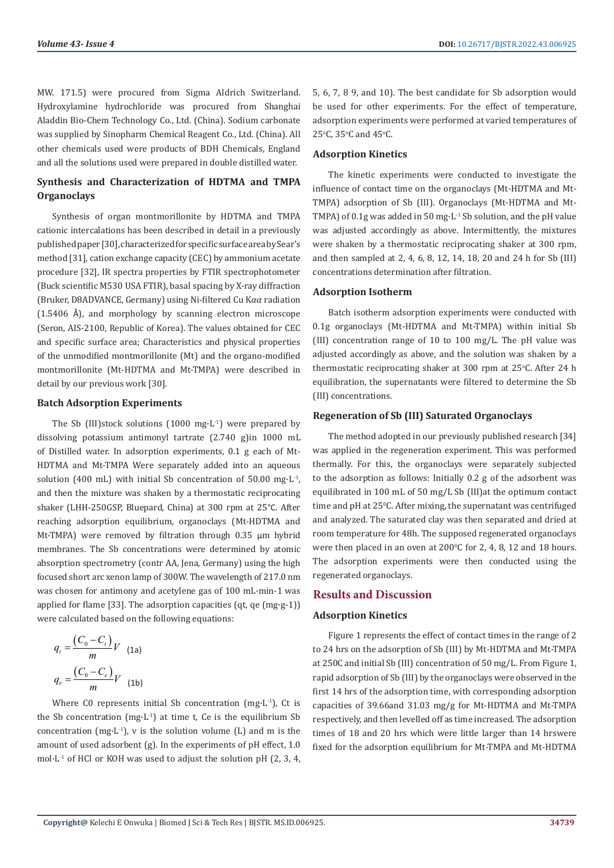MW. 171.5) were procured from Sigma Aldrich Switzerland. Hydroxylamine hydrochloride was procured from Shanghai Aladdin Bio-Chem Technology Co., Ltd. (China). Sodium carbonate was supplied by Sinopharm Chemical Reagent Co., Ltd. (China). All other chemicals used were products of BDH Chemicals, England and all the solutions used were prepared in double distilled water.

# **Synthesis and Characterization of HDTMA and TMPA Organoclays**

Synthesis of organ montmorillonite by HDTMA and TMPA cationic intercalations has been described in detail in a previously published paper [30], characterized for specific surface area by Sear's method [31], cation exchange capacity (CEC) by ammonium acetate procedure [32], IR spectra properties by FTIR spectrophotometer (Buck scientific M530 USA FTIR), basal spacing by X-ray diffraction (Bruker, D8ADVANCE, Germany) using Ni-filtered Cu K $\alpha\alpha$  radiation (1.5406 Å), and morphology by scanning electron microscope (Seron, AIS-2100, Republic of Korea). The values obtained for CEC and specific surface area; Characteristics and physical properties of the unmodified montmorillonite (Mt) and the organo-modified montmorillonite (Mt-HDTMA and Mt-TMPA) were described in detail by our previous work [30].

#### **Batch Adsorption Experiments**

The Sb (III)stock solutions  $(1000 \text{ mg} \cdot \text{L}^{-1})$  were prepared by dissolving potassium antimonyl tartrate (2.740 g)in 1000 mL of Distilled water. In adsorption experiments, 0.1 g each of Mt-HDTMA and Mt-TMPA Were separately added into an aqueous solution (400 mL) with initial Sb concentration of 50.00 mg·L<sup>-1</sup>, and then the mixture was shaken by a thermostatic reciprocating shaker (LHH-250GSP, Bluepard, China) at 300 rpm at 25°C. After reaching adsorption equilibrium, organoclays (Mt-HDTMA and Mt-TMPA) were removed by filtration through 0.35 μm hybrid membranes. The Sb concentrations were determined by atomic absorption spectrometry (contr AA, Jena, Germany) using the high focused short arc xenon lamp of 300W. The wavelength of 217.0 nm was chosen for antimony and acetylene gas of 100 mL·min-1 was applied for flame [33]. The adsorption capacities (qt, qe (mg·g-1)) were calculated based on the following equations:

$$
q_{t} = \frac{\left(C_{0} - C_{t}\right)}{m} V \quad \text{(1a)}
$$
\n
$$
q_{e} = \frac{\left(C_{0} - C_{e}\right)}{m} V \quad \text{(1b)}
$$

Where C0 represents initial Sb concentration (mg $\cdot$ L<sup>-1</sup>), Ct is the Sb concentration  $(mg·L^{-1})$  at time t, Ce is the equilibrium Sb concentration (mg·L<sup>-1</sup>), v is the solution volume (L) and m is the amount of used adsorbent (g). In the experiments of pH effect, 1.0 mol $\cdot$ L<sup>-1</sup> of HCl or KOH was used to adjust the solution pH (2, 3, 4, 5, 6, 7, 8 9, and 10). The best candidate for Sb adsorption would be used for other experiments. For the effect of temperature, adsorption experiments were performed at varied temperatures of  $25^{\circ}$ C,  $35^{\circ}$ C and  $45^{\circ}$ C.

### **Adsorption Kinetics**

The kinetic experiments were conducted to investigate the influence of contact time on the organoclays (Mt-HDTMA and Mt-TMPA) adsorption of Sb (III). Organoclays (Mt-HDTMA and Mt-TMPA) of 0.1g was added in 50 mg·L-1 Sb solution, and the pH value was adjusted accordingly as above. Intermittently, the mixtures were shaken by a thermostatic reciprocating shaker at 300 rpm, and then sampled at 2, 4, 6, 8, 12, 14, 18, 20 and 24 h for Sb (III) concentrations determination after filtration.

#### **Adsorption Isotherm**

Batch isotherm adsorption experiments were conducted with 0.1g organoclays (Mt-HDTMA and Mt-TMPA) within initial Sb (III) concentration range of 10 to 100 mg/L. The pH value was adjusted accordingly as above, and the solution was shaken by a thermostatic reciprocating shaker at  $300$  rpm at  $25^{\circ}$ C. After 24 h equilibration, the supernatants were filtered to determine the Sb (III) concentrations.

#### **Regeneration of Sb (III) Saturated Organoclays**

The method adopted in our previously published research [34] was applied in the regeneration experiment. This was performed thermally. For this, the organoclays were separately subjected to the adsorption as follows: Initially 0.2 g of the adsorbent was equilibrated in 100 mL of 50 mg/L Sb (III)at the optimum contact time and pH at 25°C. After mixing, the supernatant was centrifuged and analyzed. The saturated clay was then separated and dried at room temperature for 48h. The supposed regenerated organoclays were then placed in an oven at  $200^{\circ}$ C for 2, 4, 8, 12 and 18 hours. The adsorption experiments were then conducted using the regenerated organoclays.

### **Results and Discussion**

# **Adsorption Kinetics**

Figure 1 represents the effect of contact times in the range of 2 to 24 hrs on the adsorption of Sb (III) by Mt-HDTMA and Mt-TMPA at 250C and initial Sb (III) concentration of 50 mg/L. From Figure 1, rapid adsorption of Sb (III) by the organoclays were observed in the first 14 hrs of the adsorption time, with corresponding adsorption capacities of 39.66and 31.03 mg/g for Mt-HDTMA and Mt-TMPA respectively, and then levelled off as time increased. The adsorption times of 18 and 20 hrs which were little larger than 14 hrswere fixed for the adsorption equilibrium for Mt-TMPA and Mt-HDTMA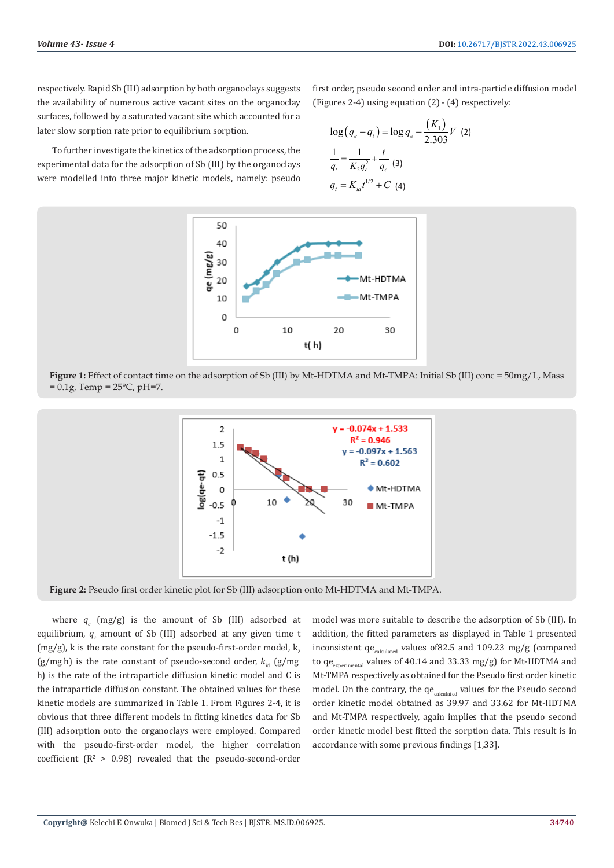respectively. Rapid Sb (III) adsorption by both organoclays suggests the availability of numerous active vacant sites on the organoclay surfaces, followed by a saturated vacant site which accounted for a later slow sorption rate prior to equilibrium sorption.

To further investigate the kinetics of the adsorption process, the experimental data for the adsorption of Sb (III) by the organoclays were modelled into three major kinetic models, namely: pseudo

first order, pseudo second order and intra-particle diffusion model (Figures 2-4) using equation (2) - (4) respectively:

$$
\log (q_e - q_t) = \log q_e - \frac{(K_1)}{2.303} V \tag{2}
$$
\n
$$
\frac{1}{q_t} = \frac{1}{K_2 q_e^2} + \frac{t}{q_e} \tag{3}
$$
\n
$$
q_t = K_{id} t^{1/2} + C \tag{4}
$$





**Figure 1:** Effect of contact time on the adsorption of Sb (III) by Mt-HDTMA and Mt-TMPA: Initial Sb (III) conc = 50mg/L, Mass  $= 0.1$ g, Temp = 25°C, pH=7.



**Figure 2:** Pseudo first order kinetic plot for Sb (III) adsorption onto Mt-HDTMA and Mt-TMPA.

where  $q_e$  (mg/g) is the amount of Sb (III) adsorbed at equilibrium,  $q_t$  amount of Sb (III) adsorbed at any given time t (mg/g), k is the rate constant for the pseudo-first-order model,  $k<sub>2</sub>$ (g/mg<sub>h</sub>) is the rate constant of pseudo-second order,  $k_{\text{id}}$  (g/mg) h) is the rate of the intraparticle diffusion kinetic model and C is the intraparticle diffusion constant. The obtained values for these kinetic models are summarized in Table 1. From Figures 2-4, it is obvious that three different models in fitting kinetics data for Sb (III) adsorption onto the organoclays were employed. Compared with the pseudo-first-order model, the higher correlation coefficient  $(R^2 > 0.98)$  revealed that the pseudo-second-order model was more suitable to describe the adsorption of Sb (III). In addition, the fitted parameters as displayed in Table 1 presented inconsistent  $qe_{calculated}$  values of 82.5 and 109.23 mg/g (compared to  $qe_{\text{experimental}}$  values of 40.14 and 33.33 mg/g) for Mt-HDTMA and Mt-TMPA respectively as obtained for the Pseudo first order kinetic model. On the contrary, the  $qe_{calculated}$  values for the Pseudo second order kinetic model obtained as 39.97 and 33.62 for Mt-HDTMA and Mt-TMPA respectively, again implies that the pseudo second order kinetic model best fitted the sorption data. This result is in accordance with some previous findings [1,33].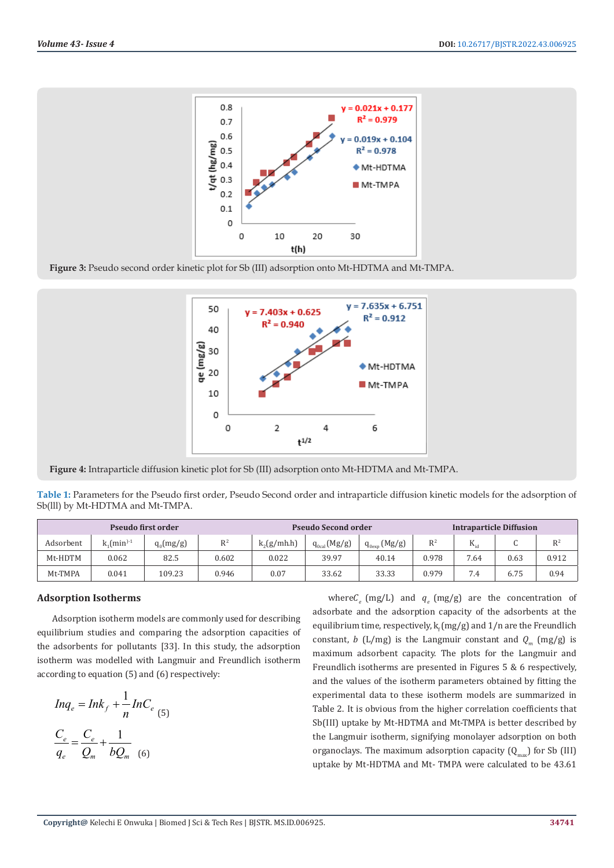

**Figure 3:** Pseudo second order kinetic plot for Sb (III) adsorption onto Mt-HDTMA and Mt-TMPA.



**Figure 4:** Intraparticle diffusion kinetic plot for Sb (III) adsorption onto Mt-HDTMA and Mt-TMPA.

**Table 1:** Parameters for the Pseudo first order, Pseudo Second order and intraparticle diffusion kinetic models for the adsorption of Sb(lll) by Mt-HDTMA and Mt-TMPA.

| Pseudo first order |                                           |             |                | <b>Pseudo Second order</b> |                   |                             | <b>Intraparticle Diffusion</b> |          |                 |       |
|--------------------|-------------------------------------------|-------------|----------------|----------------------------|-------------------|-----------------------------|--------------------------------|----------|-----------------|-------|
| Adsorbent          | $\kappa$ <sub>1</sub> (min <sup>)-1</sup> | $q_0(mg/g)$ | R <sup>2</sup> | $k_2(g/mh.h)$              | $q_{0cal}$ (Mg/g) | (Mg/g)<br>$q_{0\text{exp}}$ | $R^2$                          | $K_{id}$ | $\sqrt{2}$<br>◡ | $R^2$ |
| Mt-HDTM            | 0.062                                     | 82.5        | 0.602          | 0.022                      | 39.97             | 40.14                       | 0.978                          | 7.64     | 0.63            | 0.912 |
| Mt-TMPA            | 0.041                                     | 109.23      | 0.946          | 0.07                       | 33.62             | 33.33                       | 0.979                          | 7.4      | 6.75            | 0.94  |

#### **Adsorption Isotherms**

Adsorption isotherm models are commonly used for describing equilibrium studies and comparing the adsorption capacities of the adsorbents for pollutants [33]. In this study, the adsorption isotherm was modelled with Langmuir and Freundlich isotherm according to equation (5) and (6) respectively:

$$
Inq_e = Ink_f + \frac{1}{n} InC_e
$$
  

$$
\frac{C_e}{q_e} = \frac{C_e}{Q_m} + \frac{1}{bQ_m}
$$
 (6)

where  $C_{\rho}$  (mg/L) and  $q_{\rho}$  (mg/g) are the concentration of adsorbate and the adsorption capacity of the adsorbents at the equilibrium time, respectively,  $k_f$  (mg/g) and  $1/n$  are the Freundlich constant, *b* (L/mg) is the Langmuir constant and  $Q_{m}$  (mg/g) is maximum adsorbent capacity. The plots for the Langmuir and Freundlich isotherms are presented in Figures 5 & 6 respectively, and the values of the isotherm parameters obtained by fitting the experimental data to these isotherm models are summarized in Table 2. It is obvious from the higher correlation coefficients that Sb(III) uptake by Mt-HDTMA and Mt-TMPA is better described by the Langmuir isotherm, signifying monolayer adsorption on both organoclays. The maximum adsorption capacity  $(Q_{\text{max}})$  for Sb (III) uptake by Mt-HDTMA and Mt- TMPA were calculated to be 43.61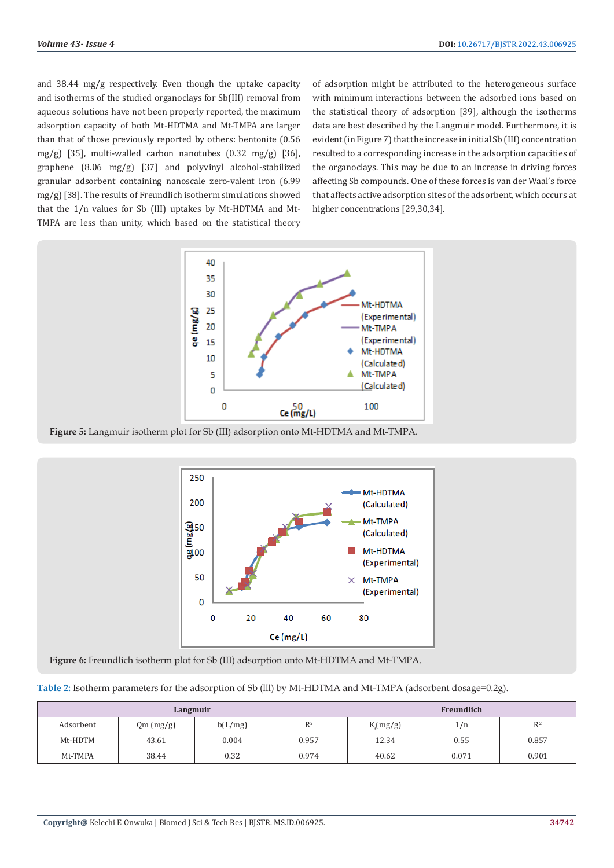and 38.44 mg/g respectively. Even though the uptake capacity and isotherms of the studied organoclays for Sb(III) removal from aqueous solutions have not been properly reported, the maximum adsorption capacity of both Mt-HDTMA and Mt-TMPA are larger than that of those previously reported by others: bentonite (0.56 mg/g) [35], multi-walled carbon nanotubes  $(0.32 \text{ mg/g})$  [36], graphene (8.06 mg/g) [37] and polyvinyl alcohol-stabilized granular adsorbent containing nanoscale zero-valent iron (6.99 mg/g) [38]. The results of Freundlich isotherm simulations showed that the 1/n values for Sb (III) uptakes by Mt-HDTMA and Mt-TMPA are less than unity, which based on the statistical theory

of adsorption might be attributed to the heterogeneous surface with minimum interactions between the adsorbed ions based on the statistical theory of adsorption [39], although the isotherms data are best described by the Langmuir model. Furthermore, it is evident (in Figure 7) that the increase in initial Sb (III) concentration resulted to a corresponding increase in the adsorption capacities of the organoclays. This may be due to an increase in driving forces affecting Sb compounds. One of these forces is van der Waal's force that affects active adsorption sites of the adsorbent, which occurs at higher concentrations [29,30,34].



**Figure 5:** Langmuir isotherm plot for Sb (III) adsorption onto Mt-HDTMA and Mt-TMPA.



**Figure 6:** Freundlich isotherm plot for Sb (III) adsorption onto Mt-HDTMA and Mt-TMPA.

|  |  |  | Table 2: Isotherm parameters for the adsorption of Sb (III) by Mt-HDTMA and Mt-TMPA (adsorbent dosage=0.2g). |
|--|--|--|--------------------------------------------------------------------------------------------------------------|
|--|--|--|--------------------------------------------------------------------------------------------------------------|

|           | Langmuir  |         | Freundlich |             |       |       |
|-----------|-----------|---------|------------|-------------|-------|-------|
| Adsorbent | Qm (mg/g) | b(L/mg) | $D^2$      | $K_f(mg/g)$ | 1/n   | $R^2$ |
| Mt-HDTM   | 43.61     | 0.004   | 0.957      | 12.34       | 0.55  | 0.857 |
| Mt-TMPA   | 38.44     | 0.32    | 0.974      | 40.62       | 0.071 | 0.901 |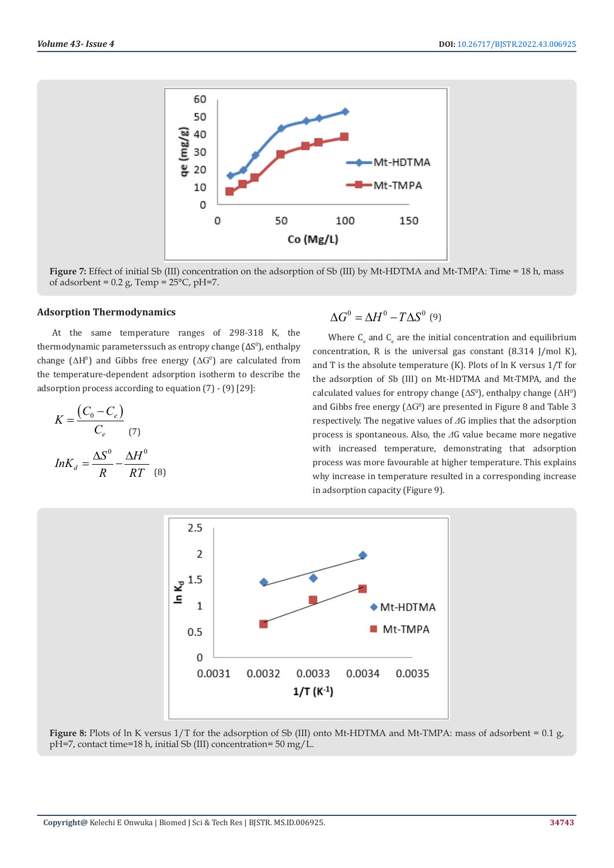

**Figure 7:** Effect of initial Sb (III) concentration on the adsorption of Sb (III) by Mt-HDTMA and Mt-TMPA: Time = 18 h, mass of adsorbent =  $0.2$  g, Temp =  $25^{\circ}$ C, pH=7.

#### **Adsorption Thermodynamics**

At the same temperature ranges of 298-318 K, the thermodynamic parameterssuch as entropy change  $(\Delta S^0)$ , enthalpy change ( $\Delta H^0$ ) and Gibbs free energy ( $\Delta G^0$ ) are calculated from the temperature-dependent adsorption isotherm to describe the adsorption process according to equation (7) - (9) [29]:

$$
K = \frac{(C_0 - C_e)}{C_e} \tag{7}
$$

$$
InK_d = \frac{\Delta S^0}{R} - \frac{\Delta H^0}{RT} \tag{8}
$$

$$
\Delta G^0 = \Delta H^0 - T \Delta S^0 \tag{9}
$$

Where  $C_{o}$  and  $C_{e}$  are the initial concentration and equilibrium concentration, R is the universal gas constant (8.314 J/mol K), and T is the absolute temperature (K). Plots of ln K versus 1/T for the adsorption of Sb (III) on Mt-HDTMA and Mt-TMPA, and the calculated values for entropy change ( $\Delta S^0$ ), enthalpy change ( $\Delta H^0$ ) and Gibbs free energy  $(\Delta G^0)$  are presented in Figure 8 and Table 3 respectively. The negative values of *Δ*G implies that the adsorption process is spontaneous. Also, the *Δ*G value became more negative with increased temperature, demonstrating that adsorption process was more favourable at higher temperature. This explains why increase in temperature resulted in a corresponding increase in adsorption capacity (Figure 9).



**Figure 8:** Plots of ln K versus 1/T for the adsorption of Sb (III) onto Mt-HDTMA and Mt-TMPA: mass of adsorbent = 0.1 g, pH=7, contact time=18 h, initial Sb (III) concentration= 50 mg/L.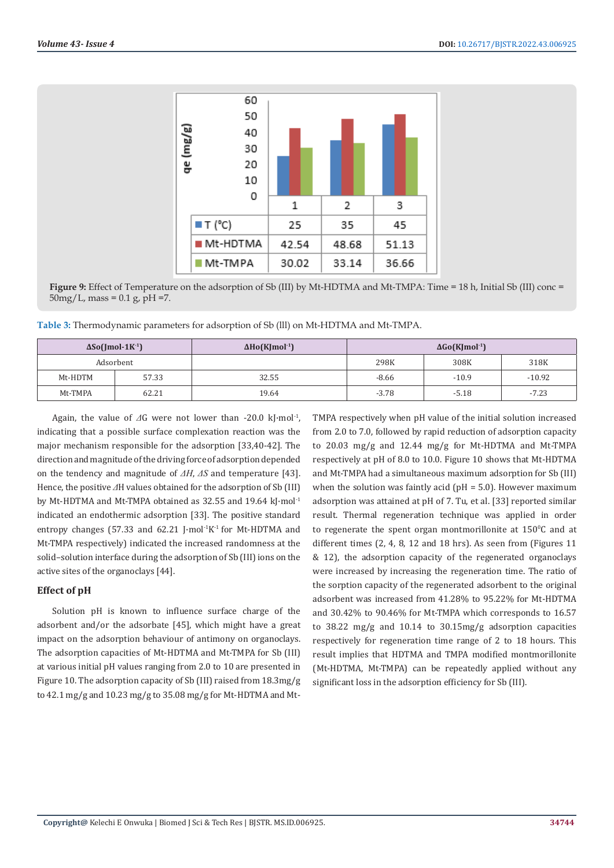

**Figure 9:** Effect of Temperature on the adsorption of Sb (III) by Mt-HDTMA and Mt-TMPA: Time = 18 h, Initial Sb (III) conc =  $50mg/L$ , mass = 0.1 g, pH =7.

**Table 3:** Thermodynamic parameters for adsorption of Sb (lll) on Mt-HDTMA and Mt-TMPA.

| $\Delta$ So(Jmol-1K <sup>-1</sup> ) |       | $\Delta$ Ho(KJmol <sup>-1</sup> ) | $\Delta G$ o(KJmol <sup>-1</sup> ) |         |          |  |
|-------------------------------------|-------|-----------------------------------|------------------------------------|---------|----------|--|
| Adsorbent                           |       |                                   | 298K                               | 308K    | 318K     |  |
| Mt-HDTM                             | 57.33 | 32.55                             | $-8.66$                            | $-10.9$ | $-10.92$ |  |
| Mt-TMPA                             | 62.21 | 19.64                             | $-3.78$                            | $-5.18$ | $-7.23$  |  |

Again, the value of *Δ*G were not lower than -20.0 kJ·mol<sup>-1</sup>, indicating that a possible surface complexation reaction was the major mechanism responsible for the adsorption [33,40-42]. The direction and magnitude of the driving force of adsorption depended on the tendency and magnitude of *ΔH*, *ΔS* and temperature [43]. Hence, the positive *Δ*H values obtained for the adsorption of Sb (III) by Mt-HDTMA and Mt-TMPA obtained as 32.55 and 19.64 kJ·mol<sup>-1</sup> indicated an endothermic adsorption [33]. The positive standard entropy changes (57.33 and 62.21 J $\cdot$ mol<sup>-1</sup>K<sup>-1</sup> for Mt-HDTMA and Mt-TMPA respectively) indicated the increased randomness at the solid–solution interface during the adsorption of Sb (III) ions on the active sites of the organoclays [44].

### **Effect of pH**

Solution pH is known to influence surface charge of the adsorbent and/or the adsorbate [45], which might have a great impact on the adsorption behaviour of antimony on organoclays. The adsorption capacities of Mt-HDTMA and Mt-TMPA for Sb (III) at various initial pH values ranging from 2.0 to 10 are presented in Figure 10. The adsorption capacity of Sb (III) raised from 18.3mg/g to 42.1 mg/g and 10.23 mg/g to 35.08 mg/g for Mt-HDTMA and MtTMPA respectively when pH value of the initial solution increased from 2.0 to 7.0, followed by rapid reduction of adsorption capacity to 20.03 mg/g and 12.44 mg/g for Mt-HDTMA and Mt-TMPA respectively at pH of 8.0 to 10.0. Figure 10 shows that Mt-HDTMA and Mt-TMPA had a simultaneous maximum adsorption for Sb (III) when the solution was faintly acid ( $pH = 5.0$ ). However maximum adsorption was attained at pH of 7. Tu, et al. [33] reported similar result. Thermal regeneration technique was applied in order to regenerate the spent organ montmorillonite at  $150^{\circ}$ C and at different times (2, 4, 8, 12 and 18 hrs). As seen from (Figures 11 & 12), the adsorption capacity of the regenerated organoclays were increased by increasing the regeneration time. The ratio of the sorption capacity of the regenerated adsorbent to the original adsorbent was increased from 41.28% to 95.22% for Mt-HDTMA and 30.42% to 90.46% for Mt-TMPA which corresponds to 16.57 to 38.22 mg/g and 10.14 to 30.15mg/g adsorption capacities respectively for regeneration time range of 2 to 18 hours. This result implies that HDTMA and TMPA modified montmorillonite (Mt-HDTMA, Mt-TMPA) can be repeatedly applied without any significant loss in the adsorption efficiency for Sb (III).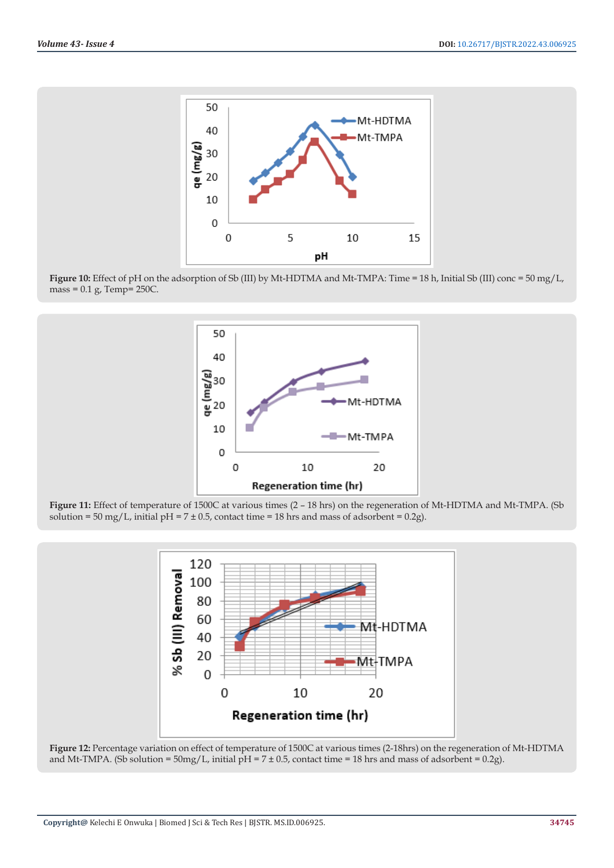

**Figure 10:** Effect of pH on the adsorption of Sb (III) by Mt-HDTMA and Mt-TMPA: Time = 18 h, Initial Sb (III) conc = 50 mg/L,  $mass = 0.1 g$ , Temp= 250C.



**Figure 11:** Effect of temperature of 1500C at various times (2 – 18 hrs) on the regeneration of Mt-HDTMA and Mt-TMPA. (Sb solution = 50 mg/L, initial pH =  $7 \pm 0.5$ , contact time = 18 hrs and mass of adsorbent = 0.2g).



**Figure 12:** Percentage variation on effect of temperature of 1500C at various times (2-18hrs) on the regeneration of Mt-HDTMA and Mt-TMPA. (Sb solution =  $50 \text{mg/L}$ , initial  $pH = 7 \pm 0.5$ , contact time = 18 hrs and mass of adsorbent = 0.2g).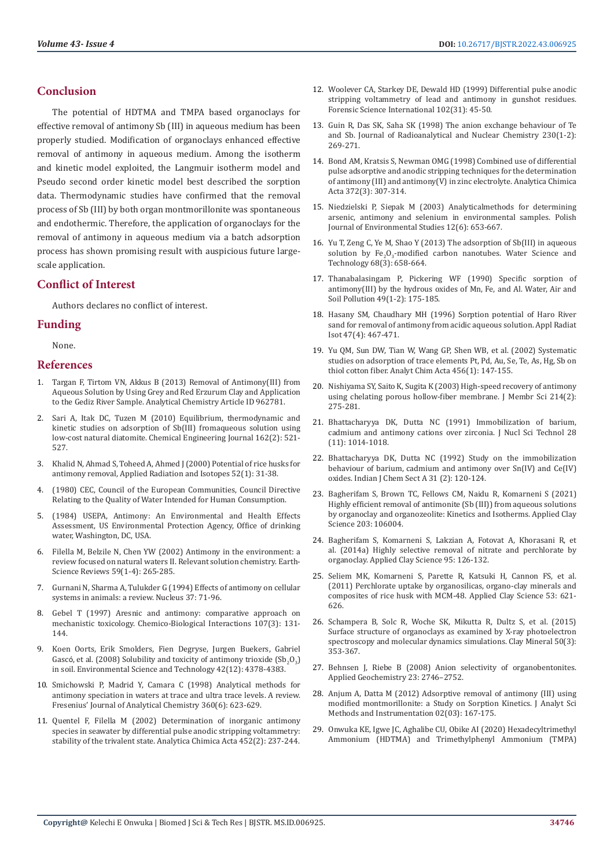# **Conclusion**

The potential of HDTMA and TMPA based organoclays for effective removal of antimony Sb (III) in aqueous medium has been properly studied. Modification of organoclays enhanced effective removal of antimony in aqueous medium. Among the isotherm and kinetic model exploited, the Langmuir isotherm model and Pseudo second order kinetic model best described the sorption data. Thermodynamic studies have confirmed that the removal process of Sb (III) by both organ montmorillonite was spontaneous and endothermic. Therefore, the application of organoclays for the removal of antimony in aqueous medium via a batch adsorption process has shown promising result with auspicious future largescale application.

## **Conflict of Interest**

Authors declares no conflict of interest.

### **Funding**

None.

#### **References**

- 1. [Targan F, Tirtom VN, Akkus B \(2013\) Removal of Antimony\(III\) from](https://www.hindawi.com/journals/isrn/2013/962781/)  [Aqueous Solution by Using Grey and Red Erzurum Clay and Application](https://www.hindawi.com/journals/isrn/2013/962781/)  [to the Gediz River Sample. Analytical Chemistry Article ID 962781.](https://www.hindawi.com/journals/isrn/2013/962781/)
- 2. [Sari A, Itak DC, Tuzen M \(2010\) Equilibrium, thermodynamic and](https://www.cabdirect.org/cabdirect/abstract/20103264387)  [kinetic studies on adsorption of Sb\(III\) fromaqueous solution using](https://www.cabdirect.org/cabdirect/abstract/20103264387)  [low-cost natural diatomite. Chemical Engineering Journal 162\(2\): 521-](https://www.cabdirect.org/cabdirect/abstract/20103264387) [527.](https://www.cabdirect.org/cabdirect/abstract/20103264387)
- 3. [Khalid N, Ahmad S, Toheed A, Ahmed J \(2000\) Potential of rice husks for](https://pubmed.ncbi.nlm.nih.gov/10670920/)  [antimony removal, Applied Radiation and Isotopes 52\(1\): 31-38.](https://pubmed.ncbi.nlm.nih.gov/10670920/)
- 4. (1980) CEC, Council of the European Communities, Council Directive Relating to the Quality of Water Intended for Human Consumption.
- 5. (1984) USEPA, Antimony: An Environmental and Health Effects Assessment, US Environmental Protection Agency, Office of drinking water, Washington, DC, USA.
- 6. Filella M, Belzile N, Chen YW (2002) Antimony in the environment: a review focused on natural waters II. Relevant solution chemistry. Earth-Science Reviews 59(1-4): 265-285.
- 7. Gurnani N, Sharma A, Tulukder G (1994) Effects of antimony on cellular systems in animals: a review. Nucleus 37: 71-96.
- 8. [Gebel T \(1997\) Aresnic and antimony: comparative approach on](https://pubmed.ncbi.nlm.nih.gov/9448748/)  [mechanistic toxicology. Chemico-Biological Interactions 107\(3\): 131-](https://pubmed.ncbi.nlm.nih.gov/9448748/) [144.](https://pubmed.ncbi.nlm.nih.gov/9448748/)
- 9. [Koen Oorts, Erik Smolders, Fien Degryse, Jurgen Buekers, Gabriel](https://pubmed.ncbi.nlm.nih.gov/18605558/)  Gascó, et al. (2008) Solubility and toxicity of antimony trioxide  $(Sb<sub>2</sub>O<sub>3</sub>)$ [in soil. Environmental Science and Technology 42\(12\): 4378-4383.](https://pubmed.ncbi.nlm.nih.gov/18605558/)
- 10. [Smichowski P, Madrid Y, Camara C \(1998\) Analytical methods for](https://www.semanticscholar.org/paper/Analytical-methods-for-antimony-speciation-in-at-A-Smichowski-Madrid/636ea78f5b59d9c3e746b83a939323d51ce5320e)  [antimony speciation in waters at trace and ultra trace levels. A review.](https://www.semanticscholar.org/paper/Analytical-methods-for-antimony-speciation-in-at-A-Smichowski-Madrid/636ea78f5b59d9c3e746b83a939323d51ce5320e)  [Fresenius' Journal of Analytical Chemistry 360\(6\): 623-629.](https://www.semanticscholar.org/paper/Analytical-methods-for-antimony-speciation-in-at-A-Smichowski-Madrid/636ea78f5b59d9c3e746b83a939323d51ce5320e)
- 11. [Quentel F, Filella M \(2002\) Determination of inorganic antimony](https://www.researchgate.net/publication/223823101_Determination_of_inorganic_antimony_species_in_seawater_by_differential_pulse_anodic_stripping_voltammetry_Stability_of_the_trivalent_state)  [species in seawater by differential pulse anodic stripping voltammetry:](https://www.researchgate.net/publication/223823101_Determination_of_inorganic_antimony_species_in_seawater_by_differential_pulse_anodic_stripping_voltammetry_Stability_of_the_trivalent_state)  [stability of the trivalent state. Analytica Chimica Acta 452\(2\): 237-244.](https://www.researchgate.net/publication/223823101_Determination_of_inorganic_antimony_species_in_seawater_by_differential_pulse_anodic_stripping_voltammetry_Stability_of_the_trivalent_state)
- 12. [Woolever CA, Starkey DE, Dewald HD \(1999\) Differential pulse anodic](https://www.sciencedirect.com/science/article/abs/pii/S0379073899000365) [stripping voltammetry of lead and antimony in gunshot residues.](https://www.sciencedirect.com/science/article/abs/pii/S0379073899000365) [Forensic Science International 102\(31\): 45-50.](https://www.sciencedirect.com/science/article/abs/pii/S0379073899000365)
- 13. Guin R, Das SK, Saha SK (1998) The anion exchange behaviour of Te and Sb. Journal of Radioanalytical and Nuclear Chemistry 230(1-2): 269-271.
- 14. Bond AM, Kratsis S, Newman OMG (1998) Combined use of differential pulse adsorptive and anodic stripping techniques for the determination of antimony (III) and antimony(V) in zinc electrolyte. Analytica Chimica Acta 372(3): 307-314.
- 15. [Niedzielski P, Siepak M \(2003\) Analyticalmethods for determining](https://www.researchgate.net/publication/236880354_Analytical_methods_for_determining_arsenic_antimony_and_selenium_in_environmental_samples) [arsenic, antimony and selenium in environmental samples. Polish](https://www.researchgate.net/publication/236880354_Analytical_methods_for_determining_arsenic_antimony_and_selenium_in_environmental_samples) [Journal of Environmental Studies 12\(6\): 653-667.](https://www.researchgate.net/publication/236880354_Analytical_methods_for_determining_arsenic_antimony_and_selenium_in_environmental_samples)
- 16. [Yu T, Zeng C, Ye M, Shao Y \(2013\) The adsorption of Sb\(III\) in aqueous](https://pubmed.ncbi.nlm.nih.gov/23925195/) solution by  $Fe<sub>2</sub>O<sub>3</sub>$ [-modified carbon nanotubes. Water Science and](https://pubmed.ncbi.nlm.nih.gov/23925195/) [Technology 68\(3\): 658-664.](https://pubmed.ncbi.nlm.nih.gov/23925195/)
- 17. [Thanabalasingam P, Pickering WF \(1990\) Specific sorption of](https://www.cabdirect.org/cabdirect/abstract/19901942824) [antimony\(III\) by the hydrous oxides of Mn, Fe, and Al. Water, Air and](https://www.cabdirect.org/cabdirect/abstract/19901942824) [Soil Pollution 49\(1-2\): 175-185.](https://www.cabdirect.org/cabdirect/abstract/19901942824)
- 18. [Hasany SM, Chaudhary MH \(1996\) Sorption potential of Haro River](https://www.sid.ir/en/journal/ViewPaper.aspx?ID=328481) [sand for removal of antimony from acidic aqueous solution. Appl Radiat](https://www.sid.ir/en/journal/ViewPaper.aspx?ID=328481) [Isot 47\(4\): 467-471.](https://www.sid.ir/en/journal/ViewPaper.aspx?ID=328481)
- 19. [Yu QM, Sun DW, Tian W, Wang GP, Shen WB, et al. \(2002\) Systematic](https://www.infona.pl/resource/bwmeta1.element.elsevier-3689c2a8-3744-3638-b012-2f2ed03a6f44) [studies on adsorption of trace elements Pt, Pd, Au, Se, Te, As, Hg, Sb on](https://www.infona.pl/resource/bwmeta1.element.elsevier-3689c2a8-3744-3638-b012-2f2ed03a6f44) [thiol cotton fiber. Analyt Chim Acta 456\(1\): 147-155.](https://www.infona.pl/resource/bwmeta1.element.elsevier-3689c2a8-3744-3638-b012-2f2ed03a6f44)
- 20. [Nishiyama SY, Saito K, Sugita K \(2003\) High-speed recovery of antimony](https://www.academia.edu/30374225/High_speed_recovery_of_antimony_using_chelating_porous_hollow_fiber_membrane) [using chelating porous hollow-fiber membrane. J Membr Sci 214\(2\):](https://www.academia.edu/30374225/High_speed_recovery_of_antimony_using_chelating_porous_hollow_fiber_membrane) [275-281.](https://www.academia.edu/30374225/High_speed_recovery_of_antimony_using_chelating_porous_hollow_fiber_membrane)
- 21. [Bhattacharyya DK, Dutta NC \(1991\) Immobilization of barium,](https://www.tandfonline.com/doi/abs/10.1080/18811248.1991.9731464) [cadmium and antimony cations over zirconia. J Nucl Sci Technol 28](https://www.tandfonline.com/doi/abs/10.1080/18811248.1991.9731464) [\(11\): 1014-1018.](https://www.tandfonline.com/doi/abs/10.1080/18811248.1991.9731464)
- 22. [Bhattacharyya DK, Dutta NC \(1992\) Study on the immobilization](http://nopr.niscair.res.in/bitstream/123456789/46026/1/IJCA%2031A%282%29%20120-124.pdf) [behaviour of barium, cadmium and antimony over Sn\(IV\) and Ce\(IV\)](http://nopr.niscair.res.in/bitstream/123456789/46026/1/IJCA%2031A%282%29%20120-124.pdf) [oxides. Indian J Chem Sect A 31 \(2\): 120-124.](http://nopr.niscair.res.in/bitstream/123456789/46026/1/IJCA%2031A%282%29%20120-124.pdf)
- 23. [Bagherifam S, Brown TC, Fellows CM, Naidu R, Komarneni S \(2021\)](https://pennstate.pure.elsevier.com/en/publications/highly-efficient-removal-of-antimonite-sb-iii-from-aqueous-soluti) [Highly efficient removal of antimonite \(Sb \(III\)\) from aqueous solutions](https://pennstate.pure.elsevier.com/en/publications/highly-efficient-removal-of-antimonite-sb-iii-from-aqueous-soluti) [by organoclay and organozeolite: Kinetics and Isotherms. Applied Clay](https://pennstate.pure.elsevier.com/en/publications/highly-efficient-removal-of-antimonite-sb-iii-from-aqueous-soluti) [Science 203: 106004.](https://pennstate.pure.elsevier.com/en/publications/highly-efficient-removal-of-antimonite-sb-iii-from-aqueous-soluti)
- 24. [Bagherifam S, Komarneni S, Lakzian A, Fotovat A, Khorasani R, et](https://www.cabdirect.org/cabdirect/abstract/20143287661) [al. \(2014a\) Highly selective removal of nitrate and perchlorate by](https://www.cabdirect.org/cabdirect/abstract/20143287661) [organoclay. Applied Clay Science 95: 126-132.](https://www.cabdirect.org/cabdirect/abstract/20143287661)
- 25. [Seliem MK, Komarneni S, Parette R, Katsuki H, Cannon FS, et al.](https://www.researchgate.net/publication/251527918_Perchlorate_uptake_by_organosilicas_organo-clay_minerals_and_composites_of_rice_husk_with_MCM-48) [\(2011\) Perchlorate uptake by organosilicas, organo-clay minerals and](https://www.researchgate.net/publication/251527918_Perchlorate_uptake_by_organosilicas_organo-clay_minerals_and_composites_of_rice_husk_with_MCM-48) [composites of rice husk with MCM-48. Applied Clay Science 53: 621-](https://www.researchgate.net/publication/251527918_Perchlorate_uptake_by_organosilicas_organo-clay_minerals_and_composites_of_rice_husk_with_MCM-48) [626.](https://www.researchgate.net/publication/251527918_Perchlorate_uptake_by_organosilicas_organo-clay_minerals_and_composites_of_rice_husk_with_MCM-48)
- 26. [Schampera B, Solc R, Woche SK, Mikutta R, Dultz S, et al. \(2015\)](https://www.researchgate.net/publication/291956518_Surface_structure_of_organoclays_as_examined_by_X-ray_photoelectron_spectroscopy_and_molecular_dynamics_simulations) [Surface structure of organoclays as examined by X-ray photoelectron](https://www.researchgate.net/publication/291956518_Surface_structure_of_organoclays_as_examined_by_X-ray_photoelectron_spectroscopy_and_molecular_dynamics_simulations) [spectroscopy and molecular dynamics simulations. Clay Mineral 50\(3\):](https://www.researchgate.net/publication/291956518_Surface_structure_of_organoclays_as_examined_by_X-ray_photoelectron_spectroscopy_and_molecular_dynamics_simulations) [353-367.](https://www.researchgate.net/publication/291956518_Surface_structure_of_organoclays_as_examined_by_X-ray_photoelectron_spectroscopy_and_molecular_dynamics_simulations)
- 27. Behnsen J, Riebe B (2008) Anion selectivity of organobentonites. Applied Geochemistry 23: 2746–2752.
- 28. [Anjum A, Datta M \(2012\) Adsorptive removal of antimony \(III\) using](https://www.researchgate.net/publication/272671442_Adsorptive_Removal_of_Antimony_III_Using_Modified_Montmorillonite_A_Study_on_Sorption_Kinetics) [modified montmorillonite: a Study on Sorption Kinetics. J Analyt Sci](https://www.researchgate.net/publication/272671442_Adsorptive_Removal_of_Antimony_III_Using_Modified_Montmorillonite_A_Study_on_Sorption_Kinetics) [Methods and Instrumentation 02\(03\): 167-175.](https://www.researchgate.net/publication/272671442_Adsorptive_Removal_of_Antimony_III_Using_Modified_Montmorillonite_A_Study_on_Sorption_Kinetics)
- 29. [Onwuka KE, Igwe JC, Aghalibe CU, Obike AI \(2020\) Hexadecyltrimethyl](https://www.fortunejournals.com/articles/hexadecyltrimethyl-ammonium-hdtma-and-trimethylphenyl-ammonium-tmpa-cations-intercalation-of-nigerian-bentonite-clay-for-multicomp.html) [Ammonium \(HDTMA\) and Trimethylphenyl Ammonium \(TMPA\)](https://www.fortunejournals.com/articles/hexadecyltrimethyl-ammonium-hdtma-and-trimethylphenyl-ammonium-tmpa-cations-intercalation-of-nigerian-bentonite-clay-for-multicomp.html)